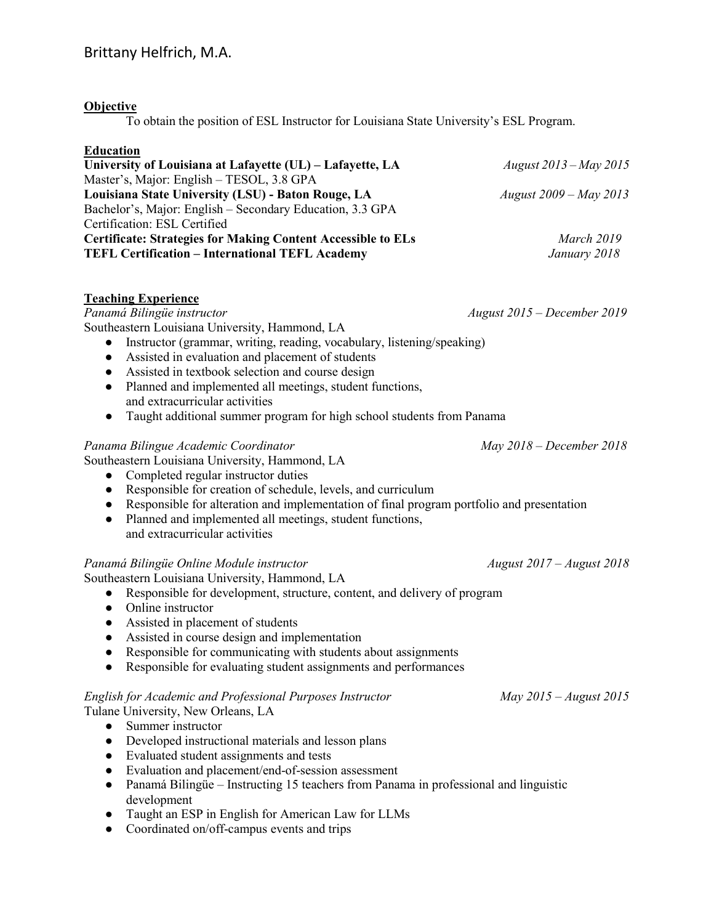## **Objective**

To obtain the position of ESL Instructor for Louisiana State University's ESL Program.

### **Education**

| University of Louisiana at Lafayette (UL) - Lafayette, LA           | August $2013 - May 2015$ |
|---------------------------------------------------------------------|--------------------------|
| Master's, Major: English – TESOL, 3.8 GPA                           |                          |
| Louisiana State University (LSU) - Baton Rouge, LA                  | August $2009 - May 2013$ |
| Bachelor's, Major: English – Secondary Education, 3.3 GPA           |                          |
| Certification: ESL Certified                                        |                          |
| <b>Certificate: Strategies for Making Content Accessible to ELs</b> | March 2019               |
| <b>TEFL Certification - International TEFL Academy</b>              | January 2018             |
|                                                                     |                          |

### **Teaching Experience**

*Panamá Bilingüe instructor August 2015 – December 2019*  Southeastern Louisiana University, Hammond, LA

- Instructor (grammar, writing, reading, vocabulary, listening/speaking)
- Assisted in evaluation and placement of students
- Assisted in textbook selection and course design
- Planned and implemented all meetings, student functions, and extracurricular activities
- Taught additional summer program for high school students from Panama

### Panama Bilingue Academic Coordinator **May 2018** - December 2018

Southeastern Louisiana University, Hammond, LA

- Completed regular instructor duties
- Responsible for creation of schedule, levels, and curriculum
- Responsible for alteration and implementation of final program portfolio and presentation
- Planned and implemented all meetings, student functions, and extracurricular activities

### Panamá Bilingüe Online Module instructor and all the Second August 2017 – August 2018

Southeastern Louisiana University, Hammond, LA

- Responsible for development, structure, content, and delivery of program
- Online instructor
- Assisted in placement of students
- Assisted in course design and implementation
- Responsible for communicating with students about assignments
- Responsible for evaluating student assignments and performances

# *English for Academic and Professional Purposes Instructor* May 2015 – August 2015

Tulane University, New Orleans, LA

- Summer instructor
- Developed instructional materials and lesson plans
- Evaluated student assignments and tests
- Evaluation and placement/end-of-session assessment
- ● Panamá Bilingüe Instructing 15 teachers from Panama in professional and linguistic development
- Taught an ESP in English for American Law for LLMs
- Coordinated on/off-campus events and trips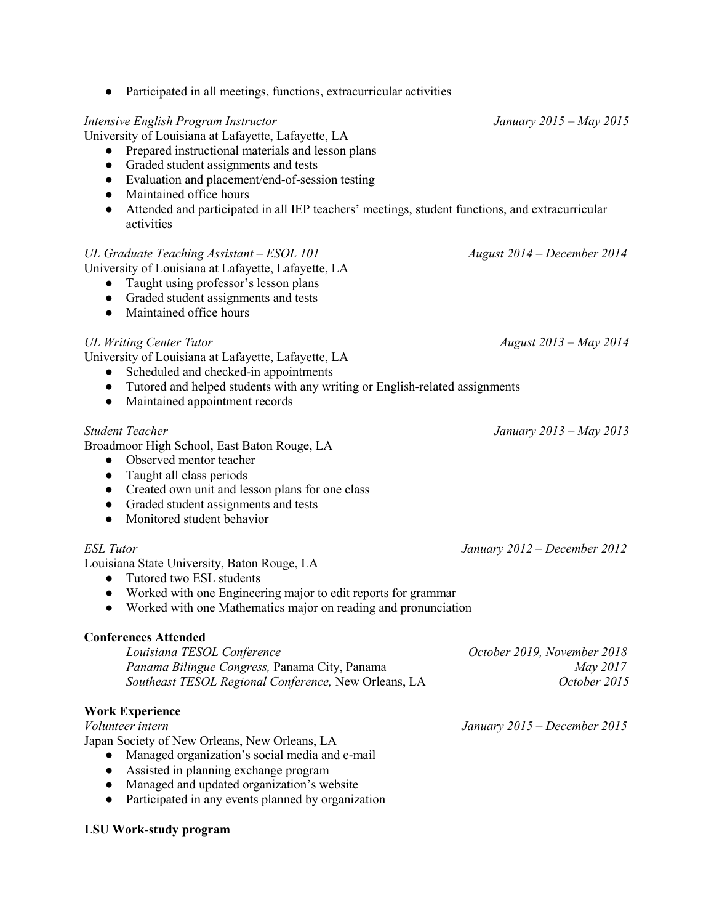| Graded student assignments and tests<br>$\bullet$<br>Evaluation and placement/end-of-session testing<br>$\bullet$<br>Maintained office hours<br>$\bullet$<br>Attended and participated in all IEP teachers' meetings, student functions, and extracurricular<br>$\bullet$<br>activities                                |                                                                |
|------------------------------------------------------------------------------------------------------------------------------------------------------------------------------------------------------------------------------------------------------------------------------------------------------------------------|----------------------------------------------------------------|
| UL Graduate Teaching Assistant – ESOL 101<br>University of Louisiana at Lafayette, Lafayette, LA<br>Taught using professor's lesson plans<br>Graded student assignments and tests<br>Maintained office hours<br>$\bullet$                                                                                              | August 2014 – December 2014                                    |
| <b>UL Writing Center Tutor</b><br>University of Louisiana at Lafayette, Lafayette, LA<br>Scheduled and checked-in appointments<br>• Tutored and helped students with any writing or English-related assignments<br>Maintained appointment records<br>$\bullet$                                                         | August 2013 - May 2014                                         |
| <b>Student Teacher</b><br>Broadmoor High School, East Baton Rouge, LA<br>Observed mentor teacher<br>$\bullet$<br>Taught all class periods<br>$\bullet$<br>Created own unit and lesson plans for one class<br>$\bullet$<br>Graded student assignments and tests<br>$\bullet$<br>Monitored student behavior<br>$\bullet$ | January 2013 – May 2013                                        |
| ESL Tutor<br>Louisiana State University, Baton Rouge, LA<br>Tutored two ESL students<br>• Worked with one Engineering major to edit reports for grammar<br>• Worked with one Mathematics major on reading and pronunciation                                                                                            | January 2012 - December 2012                                   |
| <b>Conferences Attended</b><br>Louisiana TESOL Conference<br>Panama Bilingue Congress, Panama City, Panama<br>Southeast TESOL Regional Conference, New Orleans, LA                                                                                                                                                     | October 2019, November 2018<br><i>May 2017</i><br>October 2015 |
| <b>Work Experience</b><br>Volunteer intern<br>Japan Society of New Orleans, New Orleans, LA<br>Managed organization's social media and e-mail<br>Assisted in planning exchange program<br>$\bullet$<br>Managed and updated organization's website<br>Participated in any events planned by organization                | January $2015$ – December 2015                                 |

# ● Participated in all meetings, functions, extracurricular activities

## *Intensive English Program Instructor January 2015 – May 2015*

University of Louisiana at Lafayette, Lafayette, LA

● Prepared instructional materials and lesson plans

## **Conferences Attended**

# **Work Experience**

# **LSU Work-study program**